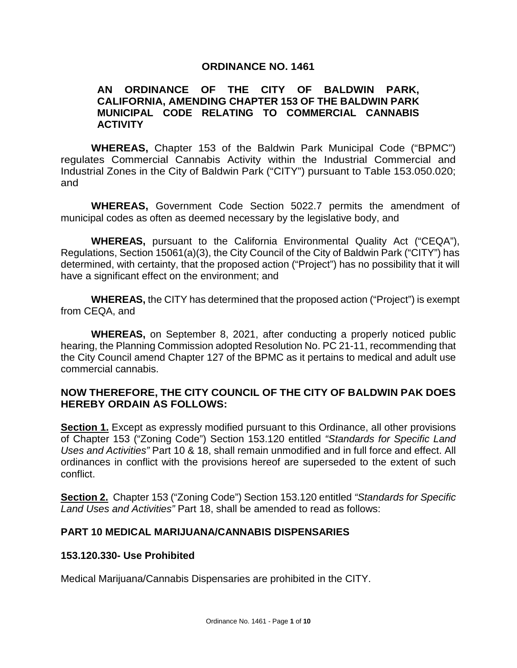### **ORDINANCE NO. 1461**

### **AN ORDINANCE OF THE CITY OF BALDWIN PARK, CALIFORNIA, AMENDING CHAPTER 153 OF THE BALDWIN PARK MUNICIPAL CODE RELATING TO COMMERCIAL CANNABIS ACTIVITY**

**WHEREAS,** Chapter 153 of the Baldwin Park Municipal Code ("BPMC") regulates Commercial Cannabis Activity within the Industrial Commercial and Industrial Zones in the City of Baldwin Park ("CITY") pursuant to Table 153.050.020; and

**WHEREAS,** Government Code Section 5022.7 permits the amendment of municipal codes as often as deemed necessary by the legislative body, and

**WHEREAS,** pursuant to the California Environmental Quality Act ("CEQA"), Regulations, Section 15061(a)(3), the City Council of the City of Baldwin Park ("CITY") has determined, with certainty, that the proposed action ("Project") has no possibility that it will have a significant effect on the environment; and

**WHEREAS,** the CITY has determined that the proposed action ("Project") is exempt from CEQA, and

**WHEREAS,** on September 8, 2021, after conducting a properly noticed public hearing, the Planning Commission adopted Resolution No. PC 21-11, recommending that the City Council amend Chapter 127 of the BPMC as it pertains to medical and adult use commercial cannabis.

### **NOW THEREFORE, THE CITY COUNCIL OF THE CITY OF BALDWIN PAK DOES HEREBY ORDAIN AS FOLLOWS:**

**Section 1.** Except as expressly modified pursuant to this Ordinance, all other provisions of Chapter 153 ("Zoning Code") Section 153.120 entitled *"Standards for Specific Land Uses and Activities"* Part 10 & 18, shall remain unmodified and in full force and effect. All ordinances in conflict with the provisions hereof are superseded to the extent of such conflict.

**Section 2.** Chapter 153 ("Zoning Code") Section 153.120 entitled *"Standards for Specific Land Uses and Activities"* Part 18, shall be amended to read as follows:

### **PART 10 MEDICAL MARIJUANA/CANNABIS DISPENSARIES**

#### **153.120.330- Use Prohibited**

Medical Marijuana/Cannabis Dispensaries are prohibited in the CITY.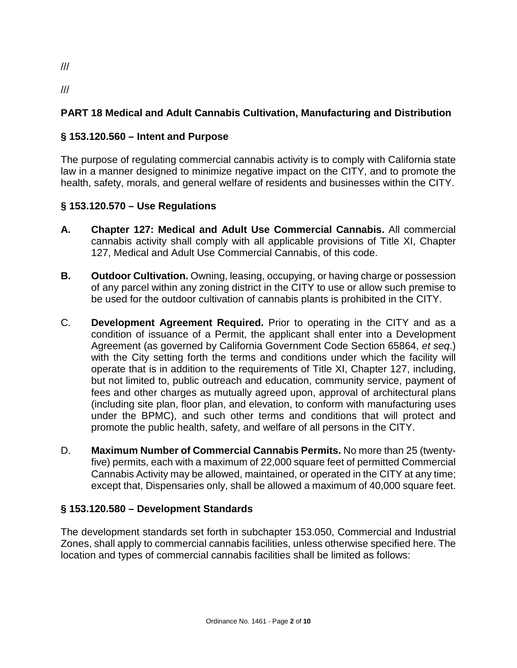# **PART 18 Medical and Adult Cannabis Cultivation, Manufacturing and Distribution**

# **§ 153.120.560 – Intent and Purpose**

The purpose of regulating commercial cannabis activity is to comply with California state law in a manner designed to minimize negative impact on the CITY, and to promote the health, safety, morals, and general welfare of residents and businesses within the CITY.

## **§ 153.120.570 – Use Regulations**

- **A. Chapter 127: Medical and Adult Use Commercial Cannabis.** All commercial cannabis activity shall comply with all applicable provisions of Title XI, Chapter 127, Medical and Adult Use Commercial Cannabis, of this code.
- **B. Outdoor Cultivation.** Owning, leasing, occupying, or having charge or possession of any parcel within any zoning district in the CITY to use or allow such premise to be used for the outdoor cultivation of cannabis plants is prohibited in the CITY.
- C. **Development Agreement Required.** Prior to operating in the CITY and as a condition of issuance of a Permit, the applicant shall enter into a Development Agreement (as governed by California Government Code Section 65864, *et seq*.) with the City setting forth the terms and conditions under which the facility will operate that is in addition to the requirements of Title XI, Chapter 127, including, but not limited to, public outreach and education, community service, payment of fees and other charges as mutually agreed upon, approval of architectural plans (including site plan, floor plan, and elevation, to conform with manufacturing uses under the BPMC), and such other terms and conditions that will protect and promote the public health, safety, and welfare of all persons in the CITY.
- D. **Maximum Number of Commercial Cannabis Permits.** No more than 25 (twentyfive) permits, each with a maximum of 22,000 square feet of permitted Commercial Cannabis Activity may be allowed, maintained, or operated in the CITY at any time; except that, Dispensaries only, shall be allowed a maximum of 40,000 square feet.

### **§ 153.120.580 – Development Standards**

The development standards set forth in subchapter 153.050, Commercial and Industrial Zones, shall apply to commercial cannabis facilities, unless otherwise specified here. The location and types of commercial cannabis facilities shall be limited as follows:

///

///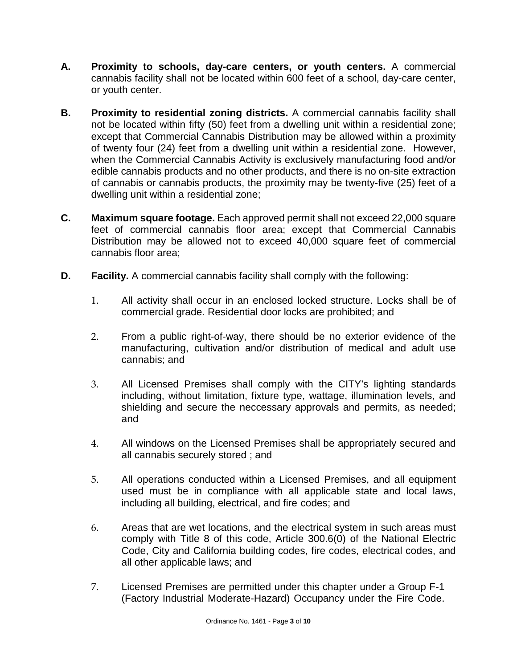- **A. Proximity to schools, day-care centers, or youth centers.** A commercial cannabis facility shall not be located within 600 feet of a school, day-care center, or youth center.
- **B. Proximity to residential zoning districts.** A commercial cannabis facility shall not be located within fifty (50) feet from a dwelling unit within a residential zone; except that Commercial Cannabis Distribution may be allowed within a proximity of twenty four (24) feet from a dwelling unit within a residential zone. However, when the Commercial Cannabis Activity is exclusively manufacturing food and/or edible cannabis products and no other products, and there is no on-site extraction of cannabis or cannabis products, the proximity may be twenty-five (25) feet of a dwelling unit within a residential zone;
- **C. Maximum square footage.** Each approved permit shall not exceed 22,000 square feet of commercial cannabis floor area; except that Commercial Cannabis Distribution may be allowed not to exceed 40,000 square feet of commercial cannabis floor area;
- **D. Facility.** A commercial cannabis facility shall comply with the following:
	- 1. All activity shall occur in an enclosed locked structure. Locks shall be of commercial grade. Residential door locks are prohibited; and
	- 2. From a public right-of-way, there should be no exterior evidence of the manufacturing, cultivation and/or distribution of medical and adult use cannabis; and
	- 3. All Licensed Premises shall comply with the CITY's lighting standards including, without limitation, fixture type, wattage, illumination levels, and shielding and secure the neccessary approvals and permits, as needed; and
	- 4. All windows on the Licensed Premises shall be appropriately secured and all cannabis securely stored ; and
	- 5. All operations conducted within a Licensed Premises, and all equipment used must be in compliance with all applicable state and local laws, including all building, electrical, and fire codes; and
	- 6. Areas that are wet locations, and the electrical system in such areas must comply with Title 8 of this code, Article 300.6(0) of the National Electric Code, City and California building codes, fire codes, electrical codes, and all other applicable laws; and
	- 7. Licensed Premises are permitted under this chapter under a Group F-1 (Factory Industrial Moderate-Hazard) Occupancy under the Fire Code.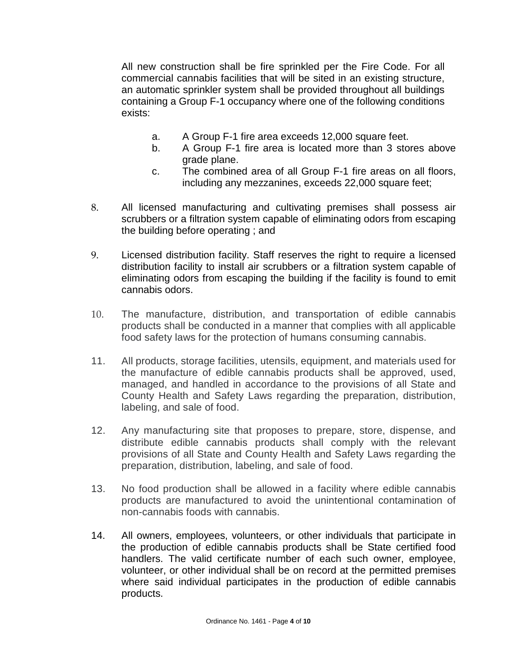All new construction shall be fire sprinkled per the Fire Code. For all commercial cannabis facilities that will be sited in an existing structure, an automatic sprinkler system shall be provided throughout all buildings containing a Group F-1 occupancy where one of the following conditions exists:

- a. A Group F-1 fire area exceeds 12,000 square feet.
- b. A Group F-1 fire area is located more than 3 stores above grade plane.
- c. The combined area of all Group F-1 fire areas on all floors, including any mezzanines, exceeds 22,000 square feet;
- 8. All licensed manufacturing and cultivating premises shall possess air scrubbers or a filtration system capable of eliminating odors from escaping the building before operating ; and
- 9. Licensed distribution facility. Staff reserves the right to require a licensed distribution facility to install air scrubbers or a filtration system capable of eliminating odors from escaping the building if the facility is found to emit cannabis odors.
- 10. The manufacture, distribution, and transportation of edible cannabis products shall be conducted in a manner that complies with all applicable food safety laws for the protection of humans consuming cannabis.
- 11. All products, storage facilities, utensils, equipment, and materials used for the manufacture of edible cannabis products shall be approved, used, managed, and handled in accordance to the provisions of all State and County Health and Safety Laws regarding the preparation, distribution, labeling, and sale of food.
- 12. Any manufacturing site that proposes to prepare, store, dispense, and distribute edible cannabis products shall comply with the relevant provisions of all State and County Health and Safety Laws regarding the preparation, distribution, labeling, and sale of food.
- 13. No food production shall be allowed in a facility where edible cannabis products are manufactured to avoid the unintentional contamination of non-cannabis foods with cannabis.
- 14. All owners, employees, volunteers, or other individuals that participate in the production of edible cannabis products shall be State certified food handlers. The valid certificate number of each such owner, employee, volunteer, or other individual shall be on record at the permitted premises where said individual participates in the production of edible cannabis products.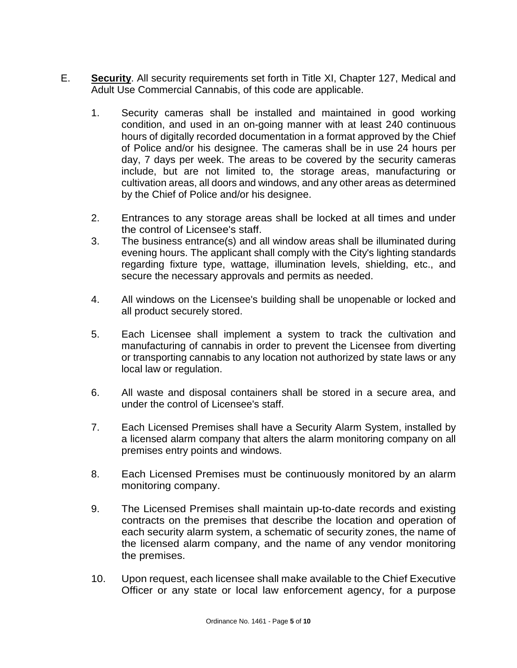- E. **Security**. All security requirements set forth in Title XI, Chapter 127, Medical and Adult Use Commercial Cannabis, of this code are applicable.
	- 1. Security cameras shall be installed and maintained in good working condition, and used in an on-going manner with at least 240 continuous hours of digitally recorded documentation in a format approved by the Chief of Police and/or his designee. The cameras shall be in use 24 hours per day, 7 days per week. The areas to be covered by the security cameras include, but are not limited to, the storage areas, manufacturing or cultivation areas, all doors and windows, and any other areas as determined by the Chief of Police and/or his designee.
	- 2. Entrances to any storage areas shall be locked at all times and under the control of Licensee's staff.
	- 3. The business entrance(s) and all window areas shall be illuminated during evening hours. The applicant shall comply with the City's lighting standards regarding fixture type, wattage, illumination levels, shielding, etc., and secure the necessary approvals and permits as needed.
	- 4. All windows on the Licensee's building shall be unopenable or locked and all product securely stored.
	- 5. Each Licensee shall implement a system to track the cultivation and manufacturing of cannabis in order to prevent the Licensee from diverting or transporting cannabis to any location not authorized by state laws or any local law or regulation.
	- 6. All waste and disposal containers shall be stored in a secure area, and under the control of Licensee's staff.
	- 7. Each Licensed Premises shall have a Security Alarm System, installed by a licensed alarm company that alters the alarm monitoring company on all premises entry points and windows.
	- 8. Each Licensed Premises must be continuously monitored by an alarm monitoring company.
	- 9. The Licensed Premises shall maintain up-to-date records and existing contracts on the premises that describe the location and operation of each security alarm system, a schematic of security zones, the name of the licensed alarm company, and the name of any vendor monitoring the premises.
	- 10. Upon request, each licensee shall make available to the Chief Executive Officer or any state or local law enforcement agency, for a purpose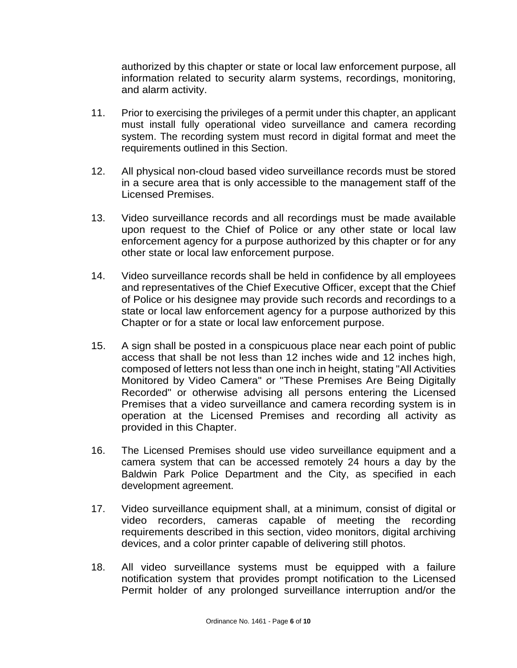authorized by this chapter or state or local law enforcement purpose, all information related to security alarm systems, recordings, monitoring, and alarm activity.

- 11. Prior to exercising the privileges of a permit under this chapter, an applicant must install fully operational video surveillance and camera recording system. The recording system must record in digital format and meet the requirements outlined in this Section.
- 12. All physical non-cloud based video surveillance records must be stored in a secure area that is only accessible to the management staff of the Licensed Premises.
- 13. Video surveillance records and all recordings must be made available upon request to the Chief of Police or any other state or local law enforcement agency for a purpose authorized by this chapter or for any other state or local law enforcement purpose.
- 14. Video surveillance records shall be held in confidence by all employees and representatives of the Chief Executive Officer, except that the Chief of Police or his designee may provide such records and recordings to a state or local law enforcement agency for a purpose authorized by this Chapter or for a state or local law enforcement purpose.
- 15. A sign shall be posted in a conspicuous place near each point of public access that shall be not less than 12 inches wide and 12 inches high, composed of letters not less than one inch in height, stating "All Activities Monitored by Video Camera" or "These Premises Are Being Digitally Recorded" or otherwise advising all persons entering the Licensed Premises that a video surveillance and camera recording system is in operation at the Licensed Premises and recording all activity as provided in this Chapter.
- 16. The Licensed Premises should use video surveillance equipment and a camera system that can be accessed remotely 24 hours a day by the Baldwin Park Police Department and the City, as specified in each development agreement.
- 17. Video surveillance equipment shall, at a minimum, consist of digital or video recorders, cameras capable of meeting the recording requirements described in this section, video monitors, digital archiving devices, and a color printer capable of delivering still photos.
- 18. All video surveillance systems must be equipped with a failure notification system that provides prompt notification to the Licensed Permit holder of any prolonged surveillance interruption and/or the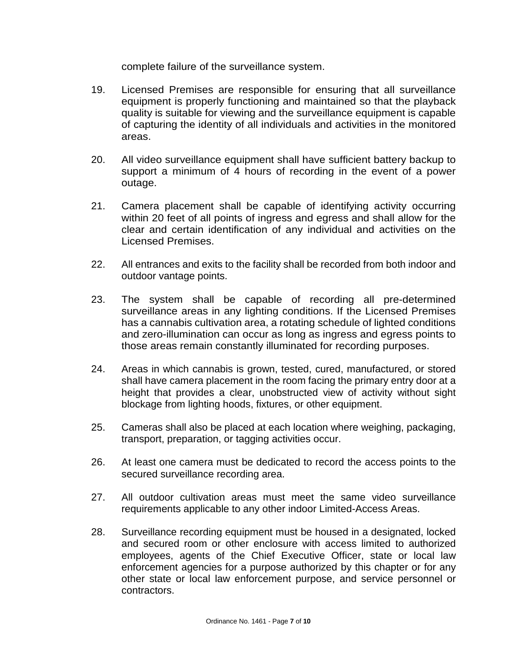complete failure of the surveillance system.

- 19. Licensed Premises are responsible for ensuring that all surveillance equipment is properly functioning and maintained so that the playback quality is suitable for viewing and the surveillance equipment is capable of capturing the identity of all individuals and activities in the monitored areas.
- 20. All video surveillance equipment shall have sufficient battery backup to support a minimum of 4 hours of recording in the event of a power outage.
- 21. Camera placement shall be capable of identifying activity occurring within 20 feet of all points of ingress and egress and shall allow for the clear and certain identification of any individual and activities on the Licensed Premises.
- 22. All entrances and exits to the facility shall be recorded from both indoor and outdoor vantage points.
- 23. The system shall be capable of recording all pre-determined surveillance areas in any lighting conditions. If the Licensed Premises has a cannabis cultivation area, a rotating schedule of lighted conditions and zero-illumination can occur as long as ingress and egress points to those areas remain constantly illuminated for recording purposes.
- 24. Areas in which cannabis is grown, tested, cured, manufactured, or stored shall have camera placement in the room facing the primary entry door at a height that provides a clear, unobstructed view of activity without sight blockage from lighting hoods, fixtures, or other equipment.
- 25. Cameras shall also be placed at each location where weighing, packaging, transport, preparation, or tagging activities occur.
- 26. At least one camera must be dedicated to record the access points to the secured surveillance recording area.
- 27. All outdoor cultivation areas must meet the same video surveillance requirements applicable to any other indoor Limited-Access Areas.
- 28. Surveillance recording equipment must be housed in a designated, locked and secured room or other enclosure with access limited to authorized employees, agents of the Chief Executive Officer, state or local law enforcement agencies for a purpose authorized by this chapter or for any other state or local law enforcement purpose, and service personnel or contractors.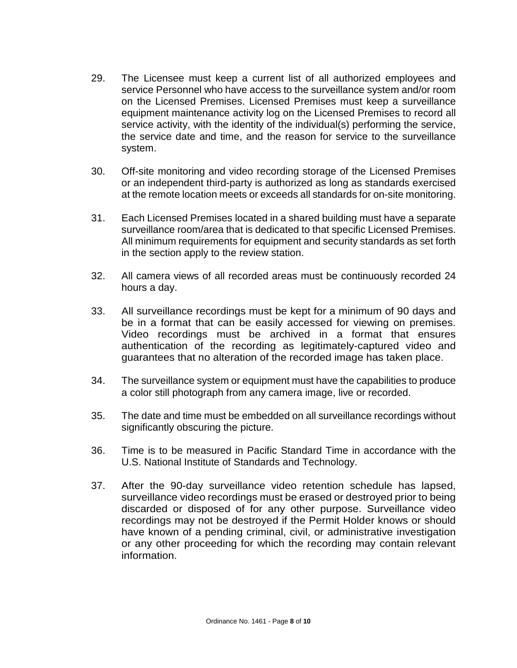- 29. The Licensee must keep a current list of all authorized employees and service Personnel who have access to the surveillance system and/or room on the Licensed Premises. Licensed Premises must keep a surveillance equipment maintenance activity log on the Licensed Premises to record all service activity, with the identity of the individual(s) performing the service, the service date and time, and the reason for service to the surveillance system.
- 30. Off-site monitoring and video recording storage of the Licensed Premises or an independent third-party is authorized as long as standards exercised at the remote location meets or exceeds all standards for on-site monitoring.
- 31. Each Licensed Premises located in a shared building must have a separate surveillance room/area that is dedicated to that specific Licensed Premises. All minimum requirements for equipment and security standards as set forth in the section apply to the review station.
- 32. All camera views of all recorded areas must be continuously recorded 24 hours a day.
- 33. All surveillance recordings must be kept for a minimum of 90 days and be in a format that can be easily accessed for viewing on premises. Video recordings must be archived in a format that ensures authentication of the recording as legitimately-captured video and guarantees that no alteration of the recorded image has taken place.
- 34. The surveillance system or equipment must have the capabilities to produce a color still photograph from any camera image, live or recorded.
- 35. The date and time must be embedded on all surveillance recordings without significantly obscuring the picture.
- 36. Time is to be measured in Pacific Standard Time in accordance with the U.S. National Institute of Standards and Technology.
- 37. After the 90-day surveillance video retention schedule has lapsed, surveillance video recordings must be erased or destroyed prior to being discarded or disposed of for any other purpose. Surveillance video recordings may not be destroyed if the Permit Holder knows or should have known of a pending criminal, civil, or administrative investigation or any other proceeding for which the recording may contain relevant information.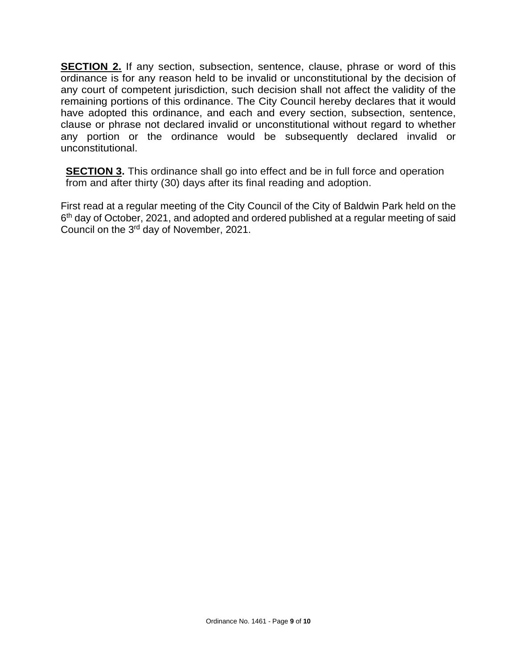**SECTION 2.** If any section, subsection, sentence, clause, phrase or word of this ordinance is for any reason held to be invalid or unconstitutional by the decision of any court of competent jurisdiction, such decision shall not affect the validity of the remaining portions of this ordinance. The City Council hereby declares that it would have adopted this ordinance, and each and every section, subsection, sentence, clause or phrase not declared invalid or unconstitutional without regard to whether any portion or the ordinance would be subsequently declared invalid or unconstitutional.

**SECTION 3.** This ordinance shall go into effect and be in full force and operation from and after thirty (30) days after its final reading and adoption.

First read at a regular meeting of the City Council of the City of Baldwin Park held on the 6<sup>th</sup> day of October, 2021, and adopted and ordered published at a regular meeting of said Council on the 3rd day of November, 2021.